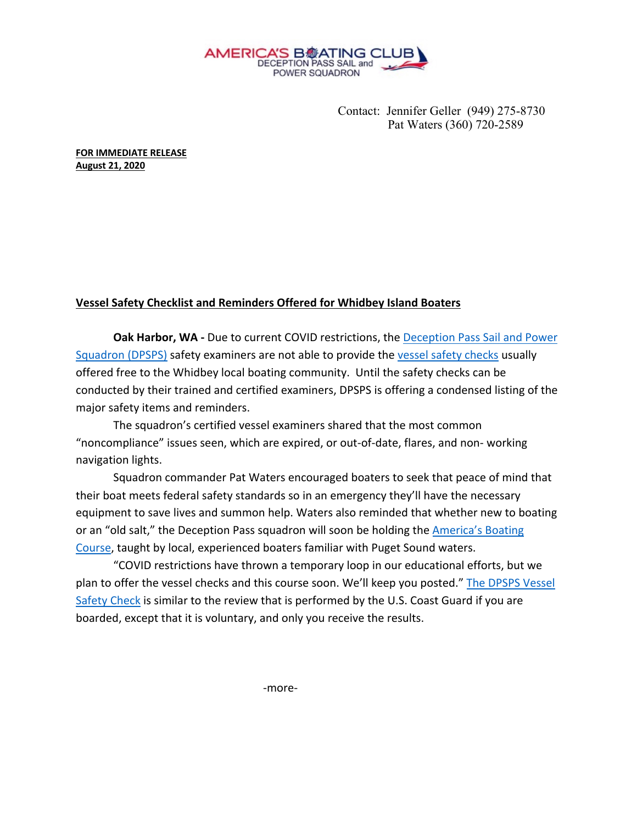

Contact: Jennifer Geller (949) 275-8730 Pat Waters (360) 720-2589

**FOR IMMEDIATE RELEASE August 21, 2020**

## **Vessel Safety Checklist and Reminders Offered for Whidbey Island Boaters**

Oak Harbor, WA - Due to current COVID restrictions, the Deception Pass Sail and Power Squadron (DPSPS) safety examiners are not able to provide the vessel safety checks usually offered free to the Whidbey local boating community. Until the safety checks can be conducted by their trained and certified examiners, DPSPS is offering a condensed listing of the major safety items and reminders.

The squadron's certified vessel examiners shared that the most common "noncompliance" issues seen, which are expired, or out-of-date, flares, and non- working navigation lights.

 Squadron commander Pat Waters encouraged boaters to seek that peace of mind that their boat meets federal safety standards so in an emergency they'll have the necessary equipment to save lives and summon help. Waters also reminded that whether new to boating or an "old salt," the Deception Pass squadron will soon be holding the America's Boating Course, taught by local, experienced boaters familiar with Puget Sound waters.

"COVID restrictions have thrown a temporary loop in our educational efforts, but we plan to offer the vessel checks and this course soon. We'll keep you posted." The DPSPS Vessel Safety Check is similar to the review that is performed by the U.S. Coast Guard if you are boarded, except that it is voluntary, and only you receive the results.

-more-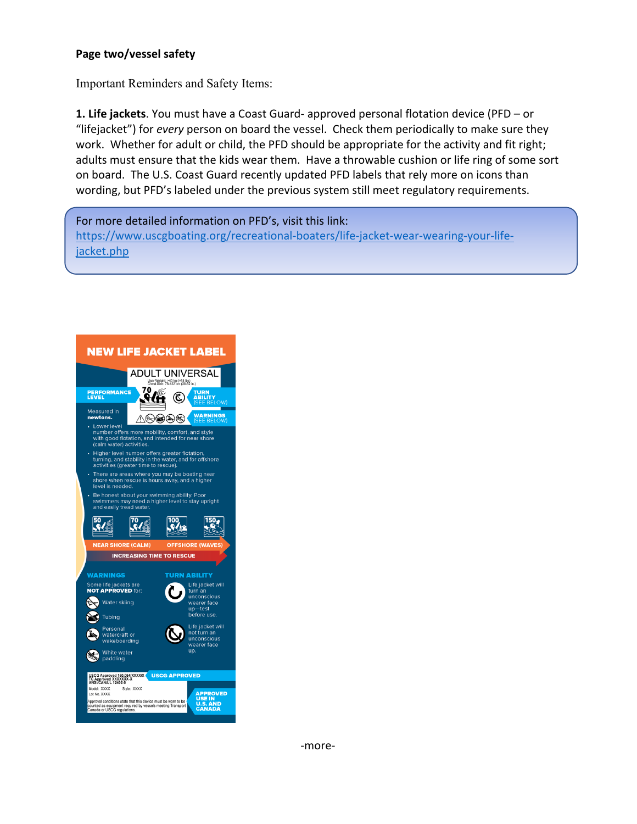## **Page two/vessel safety**

Important Reminders and Safety Items:

**1. Life jackets**. You must have a Coast Guard- approved personal flotation device (PFD – or "lifejacket") for *every* person on board the vessel. Check them periodically to make sure they work. Whether for adult or child, the PFD should be appropriate for the activity and fit right; adults must ensure that the kids wear them. Have a throwable cushion or life ring of some sort on board. The U.S. Coast Guard recently updated PFD labels that rely more on icons than wording, but PFD's labeled under the previous system still meet regulatory requirements.

For more detailed information on PFD's, visit this link: https://www.uscgboating.org/recreational-boaters/life-jacket-wear-wearing-your-lifejacket.php

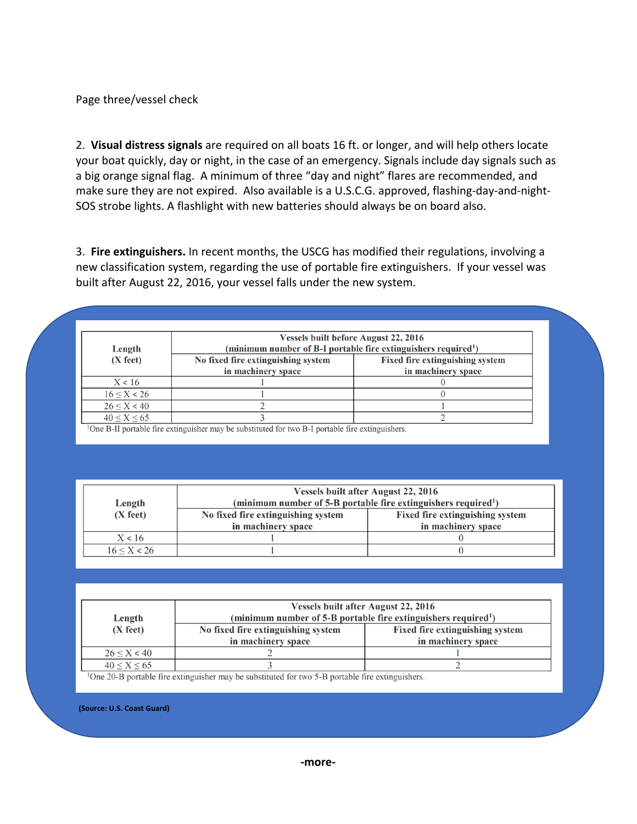Page three/vessel check

2. **Visual distress signals** are required on all boats 16 ft. or longer, and will help others locate your boat quickly, day or night, in the case of an emergency. Signals include day signals such as a big orange signal flag. A minimum of three "day and night" flares are recommended, and make sure they are not expired. Also available is a U.S.C.G. approved, flashing-day-and-night-SOS strobe lights. A flashlight with new batteries should always be on board also.

3. **Fire extinguishers.** In recent months, the USCG has modified their regulations, involving a new classification system, regarding the use of portable fire extinguishers. If your vessel was built after August 22, 2016, your vessel falls under the new system.

| Length            | <b>Vessels built before August 22, 2016</b><br>(minimum number of B-I portable fire extinguishers required <sup>1</sup> ) |                                                              |
|-------------------|---------------------------------------------------------------------------------------------------------------------------|--------------------------------------------------------------|
| $(X$ feet)        | No fixed fire extinguishing system<br>in machinery space                                                                  | <b>Fixed fire extinguishing system</b><br>in machinery space |
| X < 16            |                                                                                                                           |                                                              |
| $16 \le X \le 26$ |                                                                                                                           |                                                              |
| $26 \le X \le 40$ |                                                                                                                           |                                                              |
| 40 < X < 65       |                                                                                                                           |                                                              |

<sup>1</sup>One B-II portable fire extinguisher may be substituted for two B-I portable fire extinguishers.

|             | <b>Vessels built after August 22, 2016</b>                                 |                                        |
|-------------|----------------------------------------------------------------------------|----------------------------------------|
| Length      | (minimum number of 5-B portable fire extinguishers required <sup>1</sup> ) |                                        |
| $(X$ feet)  | No fixed fire extinguishing system                                         | <b>Fixed fire extinguishing system</b> |
|             | in machinery space                                                         | in machinery space                     |
| X < 16      |                                                                            |                                        |
| 16 < X < 26 |                                                                            |                                        |

| Length            | <b>Vessels built after August 22, 2016</b><br>(minimum number of 5-B portable fire extinguishers required <sup>1</sup> ) |                                                              |
|-------------------|--------------------------------------------------------------------------------------------------------------------------|--------------------------------------------------------------|
| $(X$ feet)        | No fixed fire extinguishing system<br>in machinery space                                                                 | <b>Fixed fire extinguishing system</b><br>in machinery space |
|                   |                                                                                                                          |                                                              |
| $26 \le X \le 40$ |                                                                                                                          |                                                              |
| $40 \le X \le 65$ |                                                                                                                          |                                                              |

<sup>1</sup>One 20-B portable fire extinguisher may be substituted for two 5-B portable fire extinguishers.

**(Source: U.S. Coast Guard)**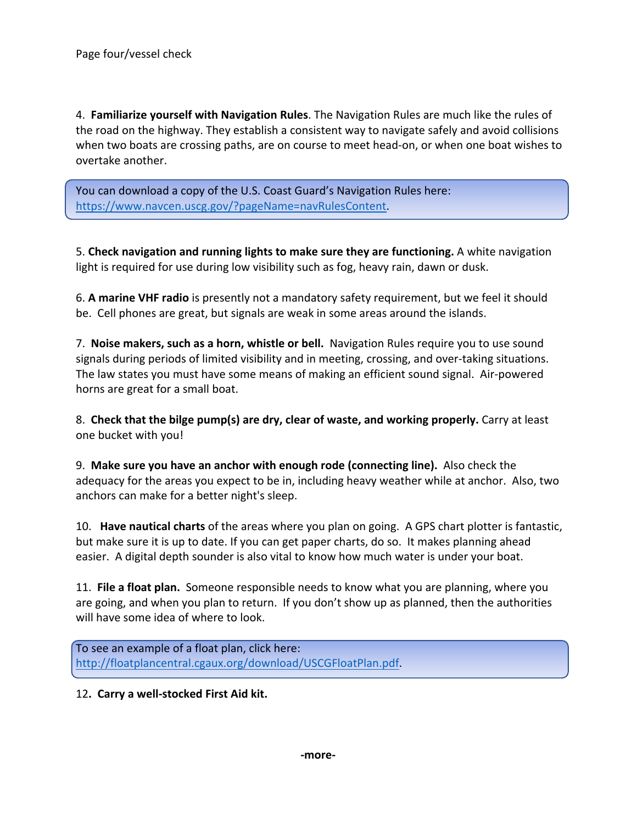i

4. **Familiarize yourself with Navigation Rules**. The Navigation Rules are much like the rules of the road on the highway. They establish a consistent way to navigate safely and avoid collisions when two boats are crossing paths, are on course to meet head-on, or when one boat wishes to overtake another.

You can download a copy of the U.S. Coast Guard's Navigation Rules here: https://www.navcen.uscg.gov/?pageName=navRulesContent.

5. **Check navigation and running lights to make sure they are functioning.** A white navigation light is required for use during low visibility such as fog, heavy rain, dawn or dusk.

6. **A marine VHF radio** is presently not a mandatory safety requirement, but we feel it should be. Cell phones are great, but signals are weak in some areas around the islands.

7. **Noise makers, such as a horn, whistle or bell.** Navigation Rules require you to use sound signals during periods of limited visibility and in meeting, crossing, and over-taking situations. The law states you must have some means of making an efficient sound signal. Air-powered horns are great for a small boat.

8. **Check that the bilge pump(s) are dry, clear of waste, and working properly.** Carry at least one bucket with you!

9. **Make sure you have an anchor with enough rode (connecting line).** Also check the adequacy for the areas you expect to be in, including heavy weather while at anchor. Also, two anchors can make for a better night's sleep.

10. **Have nautical charts** of the areas where you plan on going. A GPS chart plotter is fantastic, but make sure it is up to date. If you can get paper charts, do so. It makes planning ahead easier. A digital depth sounder is also vital to know how much water is under your boat.

11. **File a float plan.** Someone responsible needs to know what you are planning, where you are going, and when you plan to return. If you don't show up as planned, then the authorities will have some idea of where to look.

To see an example of a float plan, click here: http://floatplancentral.cgaux.org/download/USCGFloatPlan.pdf.

## 12**. Carry a well-stocked First Aid kit.**